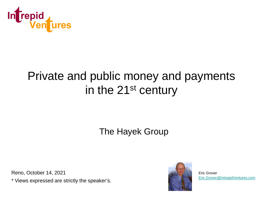

#### Private and public money and payments in the 21st century

#### The Hayek Group

Reno, October 14, 2021

\* Views expressed are strictly the speaker's.



Eric Grover [Eric.Grover@IntrepidVentures.com](mailto:Eric.Grover@IntrepidVentures.com)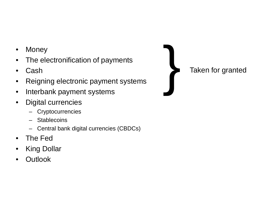- Money
- The electronification of payments
- Cash
- Reigning electronic payment systems
- Interbank payment systems
- Digital currencies
	- **Cryptocurrencies**
	- Stablecoins
	- Central bank digital currencies (CBDCs)
- The Fed
- **King Dollar**
- **Outlook**

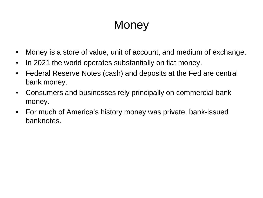## **Money**

- Money is a store of value, unit of account, and medium of exchange.
- In 2021 the world operates substantially on fiat money.
- Federal Reserve Notes (cash) and deposits at the Fed are central bank money.
- Consumers and businesses rely principally on commercial bank money.
- For much of America's history money was private, bank-issued banknotes.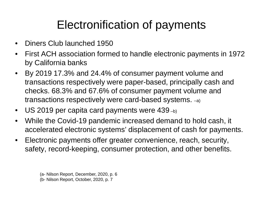### Electronification of payments

- Diners Club launched 1950
- First ACH association formed to handle electronic payments in 1972 by California banks
- By 2019 17.3% and 24.4% of consumer payment volume and transactions respectively were paper-based, principally cash and checks. 68.3% and 67.6% of consumer payment volume and transactions respectively were card-based systems. –a)
- US 2019 per capita card payments were  $439_{-b}$ )
- While the Covid-19 pandemic increased demand to hold cash, it accelerated electronic systems' displacement of cash for payments.
- Electronic payments offer greater convenience, reach, security, safety, record-keeping, consumer protection, and other benefits.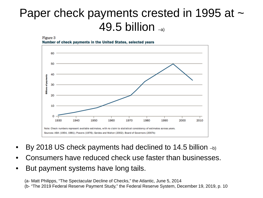#### Paper check payments crested in 1995 at  $\sim$ 49.5 billion –a)





- By 2018 US check payments had declined to 14.5 billion  $_{-b}$ )
- Consumers have reduced check use faster than businesses.
- But payment systems have long tails.

(a- Matt Philipps, "The Spectacular Decline of Checks," the Atlantic, June 5, 2014 (b- "The 2019 Federal Reserve Payment Study," the Federal Reserve System, December 19, 2019, p. 10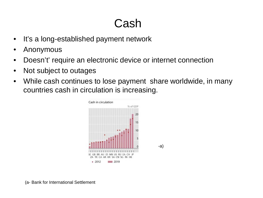## Cash

- It's a long-established payment network
- Anonymous
- Doesn't' require an electronic device or internet connection
- Not subject to outages
- While cash continues to lose payment share worldwide, in many countries cash in circulation is increasing.

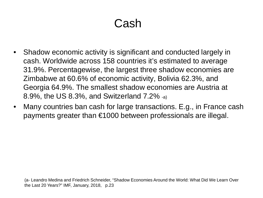## Cash

- Shadow economic activity is significant and conducted largely in cash. Worldwide across 158 countries it's estimated to average 31.9%. Percentagewise, the largest three shadow economies are Zimbabwe at 60.6% of economic activity, Bolivia 62.3%, and Georgia 64.9%. The smallest shadow economies are Austria at 8.9%, the US 8.3%, and Switzerland 7.2% -a)
- Many countries ban cash for large transactions. E.g., in France cash payments greater than €1000 between professionals are illegal.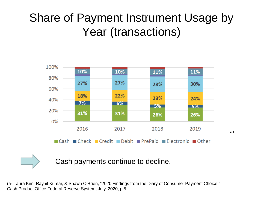## Share of Payment Instrument Usage by Year (transactions)



Cash payments continue to decline.

(a- Laura Kim, Raynil Kumar, & Shawn O'Brien, "2020 Findings from the Diary of Consumer Payment Choice," Cash Product Office Federal Reserve System, July, 2020, p.5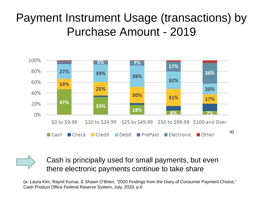#### Payment Instrument Usage (transactions) by Purchase Amount - 2019



Cash is principally used for small payments, but even there electronic payments continue to take share

(a- Laura Kim, Raynil Kumar, & Shawn O'Brien, "2020 Findings from the Diary of Consumer Payment Choice," Cash Product Office Federal Reserve System, July, 2020, p.6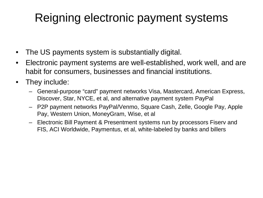### Reigning electronic payment systems

- The US payments system is substantially digital.
- Electronic payment systems are well-established, work well, and are habit for consumers, businesses and financial institutions.
- They include:
	- General-purpose "card" payment networks Visa, Mastercard, American Express, Discover, Star, NYCE, et al, and alternative payment system PayPal
	- P2P payment networks PayPal/Venmo, Square Cash, Zelle, Google Pay, Apple Pay, Western Union, MoneyGram, Wise, et al
	- Electronic Bill Payment & Presentment systems run by processors Fiserv and FIS, ACI Worldwide, Paymentus, et al, white-labeled by banks and billers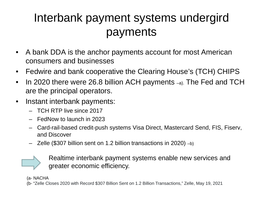## Interbank payment systems undergird payments

- A bank DDA is the anchor payments account for most American consumers and businesses
- Fedwire and bank cooperative the Clearing House's (TCH) CHIPS
- In 2020 there were 26.8 billion ACH payments -a). The Fed and TCH are the principal operators.
- Instant interbank payments:
	- TCH RTP live since 2017
	- FedNow to launch in 2023
	- Card-rail-based credit-push systems Visa Direct, Mastercard Send, FIS, Fiserv, and Discover
	- Zelle (\$307 billion sent on 1.2 billion transactions in 2020) –b)



Realtime interbank payment systems enable new services and greater economic efficiency.

(a- NACHA

(b- "Zelle Closes 2020 with Record \$307 Billion Sent on 1.2 Billion Transactions," Zelle, May 19, 2021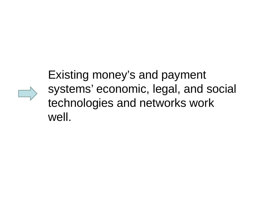### Existing money's and payment systems' economic, legal, and social technologies and networks work well.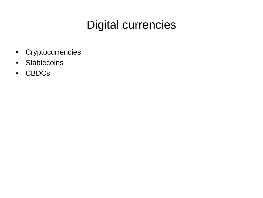#### Digital currencies

- Cryptocurrencies
- Stablecoins
- CBDCs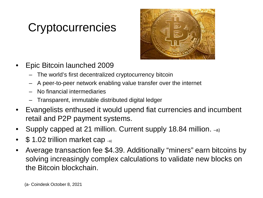## **Cryptocurrencies**



- Epic Bitcoin launched 2009
	- The world's first decentralized cryptocurrency bitcoin
	- A peer-to-peer network enabling value transfer over the internet
	- No financial intermediaries
	- Transparent, immutable distributed digital ledger
- Evangelists enthused it would upend fiat currencies and incumbent retail and P2P payment systems.
- Supply capped at 21 million. Current supply 18.84 million. –a)
- \$1.02 trillion market cap -a)
- Average transaction fee \$4.39. Additionally "miners" earn bitcoins by solving increasingly complex calculations to validate new blocks on the Bitcoin blockchain.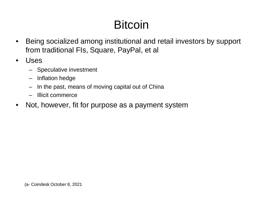## **Bitcoin**

- Being socialized among institutional and retail investors by support from traditional FIs, Square, PayPal, et al
- Uses
	- Speculative investment
	- Inflation hedge
	- In the past, means of moving capital out of China
	- Illicit commerce
- Not, however, fit for purpose as a payment system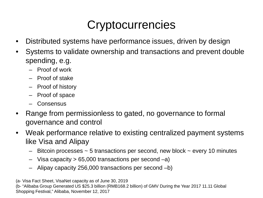## **Cryptocurrencies**

- Distributed systems have performance issues, driven by design
- Systems to validate ownership and transactions and prevent double spending, e.g.
	- Proof of work
	- Proof of stake
	- Proof of history
	- Proof of space
	- Consensus
- Range from permissionless to gated, no governance to formal governance and control
- Weak performance relative to existing centralized payment systems like Visa and Alipay
	- $-$  Bitcoin processes  $\sim$  5 transactions per second, new block  $\sim$  every 10 minutes
	- $-$  Visa capacity  $> 65,000$  transactions per second  $-a$ )
	- Alipay capacity 256,000 transactions per second –b)

(a- Visa Fact Sheet, VisaNet capacity as of June 30, 2019

(b- "Alibaba Group Generated US \$25.3 billion (RMB168.2 billion) of GMV During the Year 2017 11.11 Global Shopping Festival," Alibaba, November 12, 2017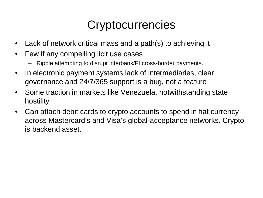## **Cryptocurrencies**

- Lack of network critical mass and a path(s) to achieving it
- Few if any compelling licit use cases
	- Ripple attempting to disrupt interbank/FI cross-border payments.
- In electronic payment systems lack of intermediaries, clear governance and 24/7/365 support is a bug, not a feature
- Some traction in markets like Venezuela, notwithstanding state hostility
- Can attach debit cards to crypto accounts to spend in fiat currency across Mastercard's and Visa's global-acceptance networks. Crypto is backend asset.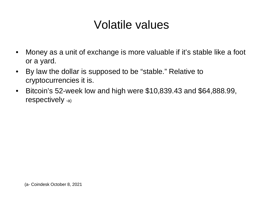#### Volatile values

- Money as a unit of exchange is more valuable if it's stable like a foot or a yard.
- By law the dollar is supposed to be "stable." Relative to cryptocurrencies it is.
- Bitcoin's 52-week low and high were \$10,839.43 and \$64,888.99, respectively -a)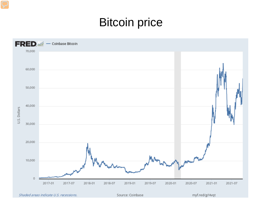#### Bitcoin price



Shaded areas indicate U.S. recessions.

Source: Coinbase

myf.red/g/Hvqt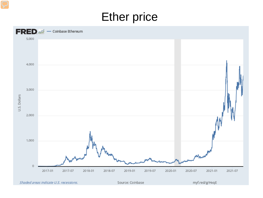#### Ether price



Shaded areas indicate U.S. recessions.

Source: Coinbase

myf.red/g/HvqE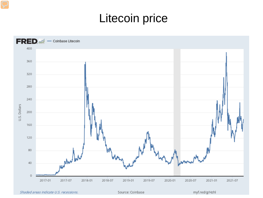#### Litecoin price



Shaded areas indicate U.S. recessions.

Source: Coinbase

myf.red/g/Hzhl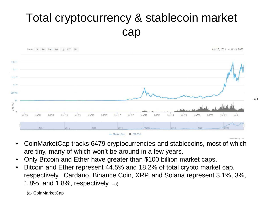## Total cryptocurrency & stablecoin market cap



-a)

- CoinMarketCap tracks 6479 cryptocurrencies and stablecoins, most of which are tiny, many of which won't be around in a few years.
- Only Bitcoin and Ether have greater than \$100 billion market caps.
- Bitcoin and Ether represent 44.5% and 18.2% of total crypto market cap, respectively. Cardano, Binance Coin, XRP, and Solana represent 3.1%, 3%, 1.8%, and 1.8%, respectively. –a)

(a- CoinMarketCap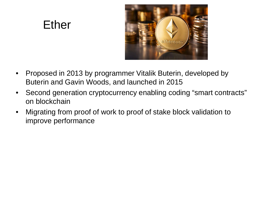#### Ether



- Proposed in 2013 by programmer Vitalik Buterin, developed by Buterin and Gavin Woods, and launched in 2015
- Second generation cryptocurrency enabling coding "smart contracts" on blockchain
- Migrating from proof of work to proof of stake block validation to improve performance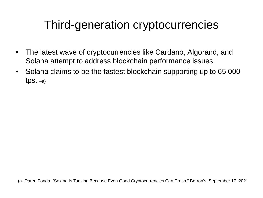#### Third-generation cryptocurrencies

- The latest wave of cryptocurrencies like Cardano, Algorand, and Solana attempt to address blockchain performance issues.
- Solana claims to be the fastest blockchain supporting up to 65,000 tps.  $-a)$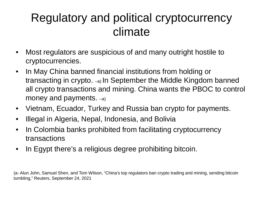### Regulatory and political cryptocurrency climate

- Most regulators are suspicious of and many outright hostile to cryptocurrencies.
- In May China banned financial institutions from holding or transacting in crypto. –a) In September the Middle Kingdom banned all crypto transactions and mining. China wants the PBOC to control money and payments. –a)
- Vietnam, Ecuador, Turkey and Russia ban crypto for payments.
- Illegal in Algeria, Nepal, Indonesia, and Bolivia
- In Colombia banks prohibited from facilitating cryptocurrency transactions
- In Egypt there's a religious degree prohibiting bitcoin.

(a- Alun John, Samuel Shen, and Tom Wilson, "China's top regulators ban crypto trading and mining, sending bitcoin tumbling," Reuters, September 24, 2021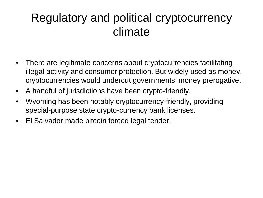#### Regulatory and political cryptocurrency climate

- There are legitimate concerns about cryptocurrencies facilitating illegal activity and consumer protection. But widely used as money, cryptocurrencies would undercut governments' money prerogative.
- A handful of jurisdictions have been crypto-friendly.
- Wyoming has been notably cryptocurrency-friendly, providing special-purpose state crypto-currency bank licenses.
- El Salvador made bitcoin forced legal tender.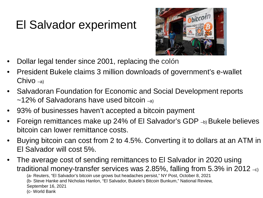## El Salvador experiment



- Dollar legal tender since 2001, replacing the colón
- President Bukele claims 3 million downloads of government's e-wallet Chivo –a)
- Salvadoran Foundation for Economic and Social Development reports  $\sim$ 12% of Salvadorans have used bitcoin  $_{\text{eq}}$
- 93% of businesses haven't accepted a bitcoin payment
- Foreign remittances make up 24% of El Salvador's GDP –b) Bukele believes bitcoin can lower remittance costs.
- Buying bitcoin can cost from 2 to 4.5%. Converting it to dollars at an ATM in El Salvador will cost 5%.
- The average cost of sending remittances to El Salvador in 2020 using traditional money-transfer services was 2.85%, falling from 5.3% in 2012  $_{\text{-c}}$ )

(a- Reuters, "El Salvador's bitcoin use grows but headaches persist," NY Post, October 8, 2021

(b- Steve Hanke and Nicholas Hanlon, "El Salvador, Bukele's Bitcoin Bunkum," National Review,

September 16, 2021

(c- World Bank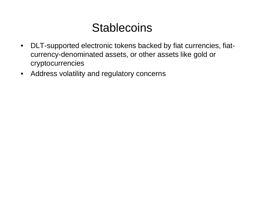#### **Stablecoins**

- DLT-supported electronic tokens backed by fiat currencies, fiatcurrency-denominated assets, or other assets like gold or cryptocurrencies
- Address volatility and regulatory concerns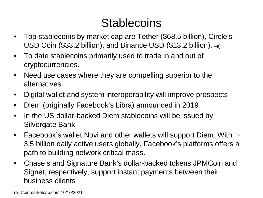### **Stablecoins**

- Top stablecoins by market cap are Tether (\$68.5 billion), Circle's USD Coin (\$33.2 billion), and Binance USD (\$13.2 billion). –a)
- To date stablecoins primarily used to trade in and out of cryptocurrencies.
- Need use cases where they are compelling superior to the alternatives.
- Digital wallet and system interoperability will improve prospects
- Diem (originally Facebook's Libra) announced in 2019
- In the US dollar-backed Diem stablecoins will be issued by Silvergate Bank
- Facebook's wallet Novi and other wallets will support Diem. With  $\sim$ 3.5 billion daily active users globally, Facebook's platforms offers a path to building network critical mass.
- Chase's and Signature Bank's dollar-backed tokens JPMCoin and Signet, respectively, support instant payments between their business clients

(a- Coinmarketcap.com 10/10/2021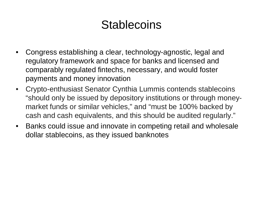#### **Stablecoins**

- Congress establishing a clear, technology-agnostic, legal and regulatory framework and space for banks and licensed and comparably regulated fintechs, necessary, and would foster payments and money innovation
- Crypto-enthusiast Senator Cynthia Lummis contends stablecoins "should only be issued by depository institutions or through moneymarket funds or similar vehicles," and "must be 100% backed by cash and cash equivalents, and this should be audited regularly."
- Banks could issue and innovate in competing retail and wholesale dollar stablecoins, as they issued banknotes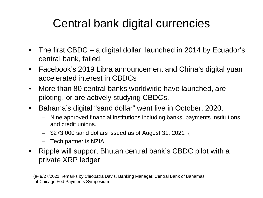## Central bank digital currencies

- The first CBDC a digital dollar, launched in 2014 by Ecuador's central bank, failed.
- Facebook's 2019 Libra announcement and China's digital yuan accelerated interest in CBDCs
- More than 80 central banks worldwide have launched, are piloting, or are actively studying CBDCs.
- Bahama's digital "sand dollar" went live in October, 2020.
	- Nine approved financial institutions including banks, payments institutions, and credit unions.
	- $-$  \$273,000 sand dollars issued as of August 31, 2021  $-$ a)
	- Tech partner is NZIA
- Ripple will support Bhutan central bank's CBDC pilot with a private XRP ledger

(a- 9/27/2021 remarks by Cleopatra Davis, Banking Manager, Central Bank of Bahamas at Chicago Fed Payments Symposium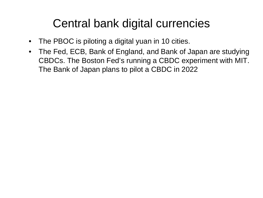#### Central bank digital currencies

- The PBOC is piloting a digital yuan in 10 cities.
- The Fed, ECB, Bank of England, and Bank of Japan are studying CBDCs. The Boston Fed's running a CBDC experiment with MIT. The Bank of Japan plans to pilot a CBDC in 2022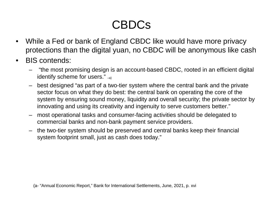## CBDCs

- While a Fed or bank of England CBDC like would have more privacy protections than the digital yuan, no CBDC will be anonymous like cash
- BIS contends:
	- "the most promising design is an account-based CBDC, rooted in an efficient digital identify scheme for users." –a)
	- best designed "as part of a two-tier system where the central bank and the private sector focus on what they do best: the central bank on operating the core of the system by ensuring sound money, liquidity and overall security; the private sector by innovating and using its creativity and ingenuity to serve customers better."
	- most operational tasks and consumer-facing activities should be delegated to commercial banks and non-bank payment service providers.
	- the two-tier system should be preserved and central banks keep their financial system footprint small, just as cash does today."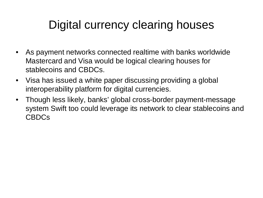## Digital currency clearing houses

- As payment networks connected realtime with banks worldwide Mastercard and Visa would be logical clearing houses for stablecoins and CBDCs.
- Visa has issued a white paper discussing providing a global interoperability platform for digital currencies.
- Though less likely, banks' global cross-border payment-message system Swift too could leverage its network to clear stablecoins and CBDCs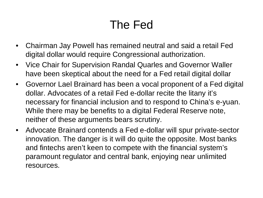## The Fed

- Chairman Jay Powell has remained neutral and said a retail Fed digital dollar would require Congressional authorization.
- Vice Chair for Supervision Randal Quarles and Governor Waller have been skeptical about the need for a Fed retail digital dollar
- Governor Lael Brainard has been a vocal proponent of a Fed digital dollar. Advocates of a retail Fed e-dollar recite the litany it's necessary for financial inclusion and to respond to China's e-yuan. While there may be benefits to a digital Federal Reserve note, neither of these arguments bears scrutiny.
- Advocate Brainard contends a Fed e-dollar will spur private-sector innovation. The danger is it will do quite the opposite. Most banks and fintechs aren't keen to compete with the financial system's paramount regulator and central bank, enjoying near unlimited resources.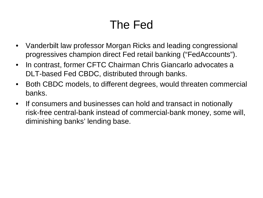## The Fed

- Vanderbilt law professor Morgan Ricks and leading congressional progressives champion direct Fed retail banking ("FedAccounts").
- In contrast, former CFTC Chairman Chris Giancarlo advocates a DLT-based Fed CBDC, distributed through banks.
- Both CBDC models, to different degrees, would threaten commercial banks.
- If consumers and businesses can hold and transact in notionally risk-free central-bank instead of commercial-bank money, some will, diminishing banks' lending base.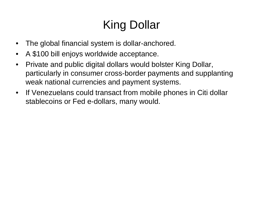# King Dollar

- The global financial system is dollar-anchored.
- A \$100 bill enjoys worldwide acceptance.
- Private and public digital dollars would bolster King Dollar, particularly in consumer cross-border payments and supplanting weak national currencies and payment systems.
- If Venezuelans could transact from mobile phones in Citi dollar stablecoins or Fed e-dollars, many would.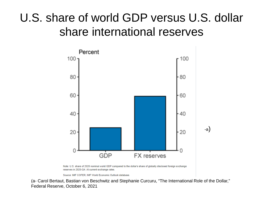## U.S. share of world GDP versus U.S. dollar share international reserves



Source: IMF COFER; IMF World Economic Outlook database.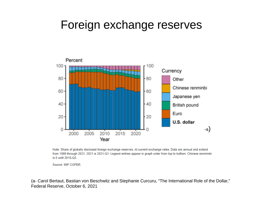#### Foreign exchange reserves



Note: Share of globally disclosed foreign exchange reserves. At current exchange rates. Data are annual and extend from 1999 through 2021. 2021 is 2021-Q1. Legend entries appear in graph order from top to bottom. Chinese renmimbi is 0 until 2015-Q2.

Source: IMF COFER.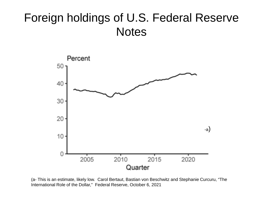#### Foreign holdings of U.S. Federal Reserve **Notes**



(a- This is an estimate, likely low. Carol Bertaut, Bastian von Beschwitz and Stephanie Curcuru, "The International Role of the Dollar," Federal Reserve, October 6, 2021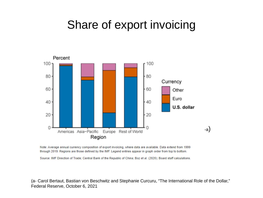#### Share of export invoicing



Note: Average annual currency composition of export invoicing, where data are available. Data extend from 1999 through 2019. Regions are those defined by the IMF. Legend entries appear in graph order from top to bottom.

Source: IMF Direction of Trade; Central Bank of the Republic of China; Boz et al. (2020); Board staff calculations.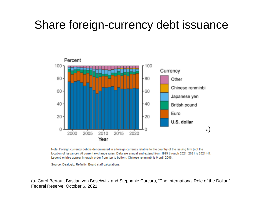#### Share foreign-currency debt issuance



Note: Foreign currency debt is denominated in a foreign currency relative to the country of the issuing firm (not the location of issuance). At current exchange rates. Data are annual and extend from 1999 through 2021. 2021 is 2021-H1. Legend entries appear in graph order from top to bottom. Chinese renmimbi is 0 until 2008.

Source: Dealogic; Refinitiv; Board staff calculations.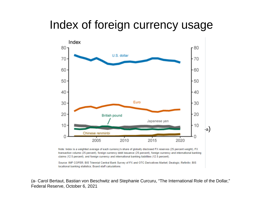#### Index of foreign currency usage



Note: Index is a weighted average of each currency's share of globally disclosed FX reserves (25 percent weight), FX transaction volume (25 percent), foreign currency debt issuance (25 percent), foreign currency and international banking claims (12.5 percent), and foreign currency and international banking liabilities (12.5 percent).

Source: IMF COFER; BIS Triennial Central Bank Survey of FX and OTC Derivatives Market; Dealogic; Refinitiv; BIS locational banking statistics; Board staff calculations.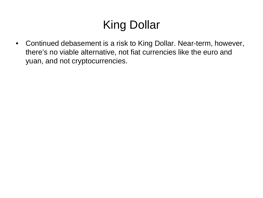## King Dollar

• Continued debasement is a risk to King Dollar. Near-term, however, there's no viable alternative, not fiat currencies like the euro and yuan, and not cryptocurrencies.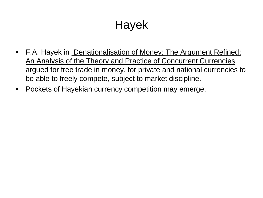## Hayek

- F.A. Hayek in Denationalisation of Money: The Argument Refined: An Analysis of the Theory and Practice of Concurrent Currencies argued for free trade in money, for private and national currencies to be able to freely compete, subject to market discipline.
- Pockets of Hayekian currency competition may emerge.